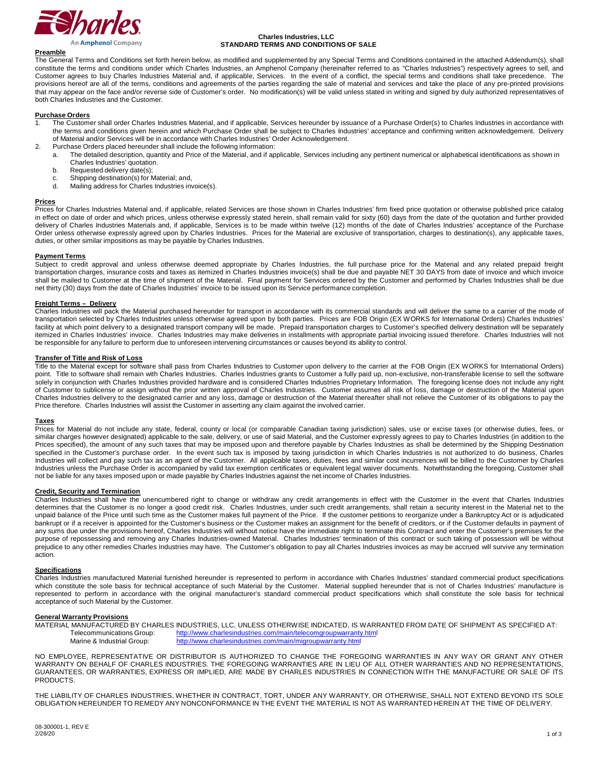

An **Amphenol** Company

# **Charles Industries, LLC STANDARD TERMS AND CONDITIONS OF SALE**

# **Preamble**

The General Terms and Conditions set forth herein below, as modified and supplemented by any Special Terms and Conditions contained in the attached Addendum(s), shall constitute the terms and conditions under which Charles Industries, an Amphenol Company (hereinafter referred to as "Charles Industries") respectively agrees to sell, and Customer agrees to buy Charles Industries Material and, if applicable, Services. In the event of a conflict, the special terms and conditions shall take precedence. The provisions hereof are all of the terms, conditions and agreements of the parties regarding the sale of material and services and take the place of any pre-printed provisions that may appear on the face and/or reverse side of Customer's order. No modification(s) will be valid unless stated in writing and signed by duly authorized representatives of both Charles Industries and the Customer.

## **Purchase Orders**

- The Customer shall order Charles Industries Material, and if applicable, Services hereunder by issuance of a Purchase Order(s) to Charles Industries in accordance with the terms and conditions given herein and which Purchase Order shall be subject to Charles Industries' acceptance and confirming written acknowledgement. Delivery of Material and/or Services will be in accordance with Charles Industries' Order Acknowledgement.
- 2. Purchase Orders placed hereunder shall include the following information:<br>a. The detailed description, quantity and Price of the Material, and if ap
	- The detailed description, quantity and Price of the Material, and if applicable, Services including any pertinent numerical or alphabetical identifications as shown in Charles Industries' quotation.
		- b. Requested delivery date(s);
		- c. Shipping destination(s) for Material; and,<br>d. Mailing address for Charles Industries in
		- Mailing address for Charles Industries invoice(s).

## **Prices**

Prices for Charles Industries Material and, if applicable, related Services are those shown in Charles Industries' firm fixed price quotation or otherwise published price catalog in effect on date of order and which prices, unless otherwise expressly stated herein, shall remain valid for sixty (60) days from the date of the quotation and further provided delivery of Charles Industries Materials and, if applicable, Services is to be made within twelve (12) months of the date of Charles Industries' acceptance of the Purchase Order unless otherwise expressly agreed upon by Charles Industries. Prices for the Material are exclusive of transportation, charges to destination(s), any applicable taxes, duties, or other similar impositions as may be payable by Charles Industries.

## **Payment Terms**

Subject to credit approval and unless otherwise deemed appropriate by Charles Industries, the full purchase price for the Material and any related prepaid freight transportation charges, insurance costs and taxes as itemized in Charles Industries invoice(s) shall be due and payable NET 30 DAYS from date of invoice and which invoice shall be mailed to Customer at the time of shipment of the Material. Final payment for Services ordered by the Customer and performed by Charles Industries shall be due net thirty (30) days from the date of Charles Industries' invoice to be issued upon its Service performance completion.

## **Freight Terms – Delivery**

Charles Industries will pack the Material purchased hereunder for transport in accordance with its commercial standards and will deliver the same to a carrier of the mode of transportation selected by Charles Industries unless otherwise agreed upon by both parties. Prices are FOB Origin (EX WORKS for International Orders) Charles Industries' facility at which point delivery to a designated transport company will be made. Prepaid transportation charges to Customer's specified delivery destination will be separately itemized in Charles Industries' invoice. Charles Industries may make deliveries in installments with appropriate partial invoicing issued therefore. Charles Industries will not be responsible for any failure to perform due to unforeseen intervening circumstances or causes beyond its ability to control.

# **Transfer of Title and Risk of Loss**

Title to the Material except for software shall pass from Charles Industries to Customer upon delivery to the carrier at the FOB Origin (EX WORKS for International Orders) point. Title to software shall remain with Charles Industries. Charles Industries grants to Customer a fully paid up, non-exclusive, non-transferable license to sell the software solely in conjunction with Charles Industries provided hardware and is considered Charles Industries Proprietary Information. The foregoing license does not include any right of Customer to sublicense or assign without the prior written approval of Charles Industries. Customer assumes all risk of loss, damage or destruction of the Material upon Charles Industries delivery to the designated carrier and any loss, damage or destruction of the Material thereafter shall not relieve the Customer of its obligations to pay the Price therefore. Charles Industries will assist the Customer in asserting any claim against the involved carrier.

# **Taxes**

Prices for Material do not include any state, federal, county or local (or comparable Canadian taxing jurisdiction) sales, use or excise taxes (or otherwise duties, fees, or similar charges however designated) applicable to the sale, delivery, or use of said Material, and the Customer expressly agrees to pay to Charles Industries (in addition to the Prices specified), the amount of any such taxes that may be imposed upon and therefore payable by Charles Industries as shall be determined by the Shipping Destination specified in the Customer's purchase order. In the event such tax is imposed by taxing jurisdiction in which Charles Industries is not authorized to do business, Charles Industries will collect and pay such tax as an agent of the Customer. All applicable taxes, duties, fees and similar cost incurrences will be billed to the Customer by Charles Industries unless the Purchase Order is accompanied by valid tax exemption certificates or equivalent legal waiver documents. Notwithstanding the foregoing, Customer shall not be liable for any taxes imposed upon or made payable by Charles Industries against the net income of Charles Industries.

## **Credit, Security and Termination**

Charles Industries shall have the unencumbered right to change or withdraw any credit arrangements in effect with the Customer in the event that Charles Industries determines that the Customer is no longer a good credit risk. Charles Industries, under such credit arrangements, shall retain a security interest in the Material net to the unpaid balance of the Price until such time as the Customer makes full payment of the Price. If the customer petitions to reorganize under a Bankruptcy Act or is adjudicated bankrupt or if a receiver is appointed for the Customer's business or the Customer makes an assignment for the benefit of creditors, or if the Customer defaults in payment of any sums due under the provisions hereof, Charles Industries will without notice have the immediate right to terminate this Contract and enter the Customer's premises for the purpose of repossessing and removing any Charles Industries-owned Material. Charles Industries' termination of this contract or such taking of possession will be without prejudice to any other remedies Charles Industries may have. The Customer's obligation to pay all Charles Industries invoices as may be accrued will survive any termination action.

## **Specifications**

Charles Industries manufactured Material furnished hereunder is represented to perform in accordance with Charles Industries' standard commercial product specifications which constitute the sole basis for technical acceptance of such Material by the Customer. Material supplied hereunder that is not of Charles Industries' manufacture is represented to perform in accordance with the original manufacturer's standard commercial product specifications which shall constitute the sole basis for technical acceptance of such Material by the Customer.

## **General Warranty Provisions**

MATERIAL MANUFACTURED BY CHARLES INDUSTRIES, LLC, UNLESS OTHERWISE INDICATED, IS WARRANTED FROM DATE OF SHIPMENT AS SPECIFIED AT:<br>Telecommunications Group: http://www.charlesindustries.com/main/telecomgroupwarranty.html Telecommunications Group: <http://www.charlesindustries.com/main/telecomgroupwarranty.html><br>Marine & Industrial Group: http://www.charlesindustries.com/main/migroupwarranty.html <http://www.charlesindustries.com/main/migroupwarranty.html>

NO EMPLOYEE, REPRESENTATIVE OR DISTRIBUTOR IS AUTHORIZED TO CHANGE THE FOREGOING WARRANTIES IN ANY WAY OR GRANT ANY OTHER WARRANTY ON BEHALF OF CHARLES INDUSTRIES. THE FOREGOING WARRANTIES ARE IN LIEU OF ALL OTHER WARRANTIES AND NO REPRESENTATIONS, GUARANTEES, OR WARRANTIES, EXPRESS OR IMPLIED, ARE MADE BY CHARLES INDUSTRIES IN CONNECTION WITH THE MANUFACTURE OR SALE OF ITS PRODUCTS.

THE LIABILITY OF CHARLES INDUSTRIES, WHETHER IN CONTRACT, TORT, UNDER ANY WARRANTY, OR OTHERWISE, SHALL NOT EXTEND BEYOND ITS SOLE OBLIGATION HEREUNDER TO REMEDY ANY NONCONFORMANCE IN THE EVENT THE MATERIAL IS NOT AS WARRANTED HEREIN AT THE TIME OF DELIVERY.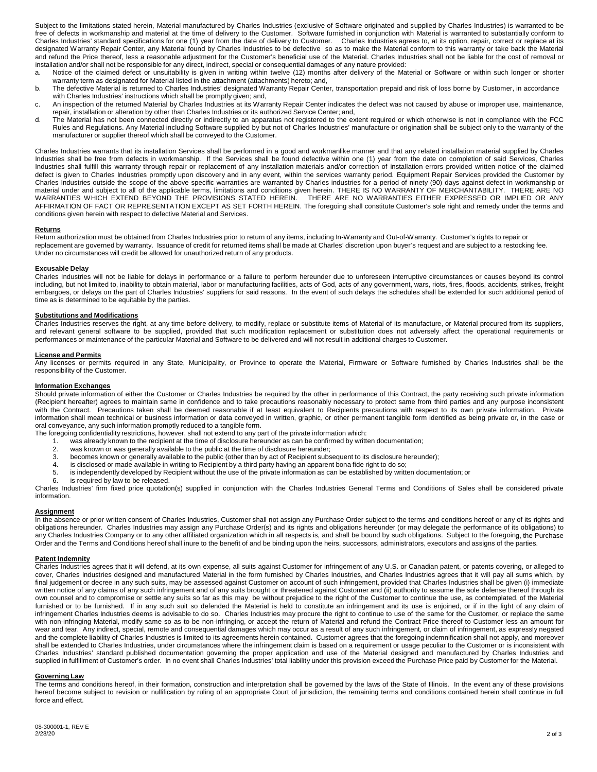Subject to the limitations stated herein, Material manufactured by Charles Industries (exclusive of Software originated and supplied by Charles Industries) is warranted to be free of defects in workmanship and material at the time of delivery to the Customer. Software furnished in conjunction with Material is warranted to substantially conform to Charles Industries' standard specifications for one (1) year from the date of delivery to Customer. Charles Industries agrees to, at its option, repair, correct or replace at its designated Warranty Repair Center, any Material found by Charles Industries to be defective so as to make the Material conform to this warranty or take back the Material and refund the Price thereof, less a reasonable adjustment for the Customer's beneficial use of the Material. Charles Industries shall not be liable for the cost of removal or installation and/or shall not be responsible for any direct, indirect, special or consequential damages of any nature provided:

- a. Notice of the claimed defect or unsuitability is given in writing within twelve (12) months after delivery of the Material or Software or within such longer or shorter warranty term as designated for Material listed in the attachment (attachments) hereto; and,
- b. The defective Material is returned to Charles Industries' designated Warranty Repair Center, transportation prepaid and risk of loss borne by Customer, in accordance with Charles Industries' instructions which shall be promptly given; and,
- c. An inspection of the returned Material by Charles Industries at its Warranty Repair Center indicates the defect was not caused by abuse or improper use, maintenance, repair, installation or alteration by other than Charles Industries or its authorized Service Center; and,
- d. The Material has not been connected directly or indirectly to an apparatus not registered to the extent required or which otherwise is not in compliance with the FCC Rules and Regulations. Any Material including Software supplied by but not of Charles Industries' manufacture or origination shall be subject only to the warranty of the manufacturer or supplier thereof which shall be conveyed to the Customer.

Charles Industries warrants that its installation Services shall be performed in a good and workmanlike manner and that any related installation material supplied by Charles Industries shall be free from defects in workmanship. If the Services shall be found defective within one (1) year from the date on completion of said Services, Charles Industries shall fulfill this warranty through repair or replacement of any installation materials and/or correction of installation errors provided written notice of the claimed defect is given to Charles Industries promptly upon discovery and in any event, within the services warranty period. Equipment Repair Services provided the Customer by Charles Industries outside the scope of the above specific warranties are warranted by Charles industries for a period of ninety (90) days against defect in workmanship or material under and subject to all of the applicable terms, limitations and conditions given herein. THERE IS NO WARRANTY OF MERCHANTABILITY. THERE ARE NO WARRANTIES WHICH EXTEND BEYOND THE PROVISIONS STATED HEREIN. THERE ARE NO WARRANTIES EITHER EXPRESSED OR IMPLIED OR ANY AFFIRMATION OF FACT OR REPRESENTATION EXCEPT AS SET FORTH HEREIN. The foregoing shall constitute Customer's sole right and remedy under the terms and conditions given herein with respect to defective Material and Services.

# **Returns**

Return authorization must be obtained from Charles Industries prior to return of any items, including In-Warranty and Out-of-Warranty. Customer's rights to repair or replacement are governed by warranty. Issuance of credit for returned items shall be made at Charles' discretion upon buyer's request and are subject to a restocking fee. Under no circumstances will credit be allowed for unauthorized return of any products.

## **Excusable Delay**

Charles Industries will not be liable for delays in performance or a failure to perform hereunder due to unforeseen interruptive circumstances or causes beyond its control including, but not limited to, inability to obtain material, labor or manufacturing facilities, acts of God, acts of any government, wars, riots, fires, floods, accidents, strikes, freight embargoes, or delays on the part of Charles Industries' suppliers for said reasons. In the event of such delays the schedules shall be extended for such additional period of time as is determined to be equitable by the parties.

## **Substitutions and Modifications**

Charles Industries reserves the right, at any time before delivery, to modify, replace or substitute items of Material of its manufacture, or Material procured from its suppliers, and relevant general software to be supplied, provided that such modification replacement or substitution does not adversely affect the operational requirements or performances or maintenance of the particular Material and Software to be delivered and will not result in additional charges to Customer.

## **License and Permits**

Any licenses or permits required in any State, Municipality, or Province to operate the Material, Firmware or Software furnished by Charles Industries shall be the responsibility of the Customer.

## **Information Exchanges**

Should private information of either the Customer or Charles Industries be required by the other in performance of this Contract, the party receiving such private information (Recipient hereafter) agrees to maintain same in confidence and to take precautions reasonably necessary to protect same from third parties and any purpose inconsistent with the Contract. Precautions taken shall be deemed reasonable if at least equivalent to Recipients precautions with respect to its own private information. Private information shall mean technical or business information or data conveyed in written, graphic, or other permanent tangible form identified as being private or, in the case or oral conveyance, any such information promptly reduced to a tangible form.

- The foregoing confidentiality restrictions, however, shall not extend to any part of the private information which:
	- 1. was already known to the recipient at the time of disclosure hereunder as can be confirmed by written documentation;
	- 2. was known or was generally available to the public at the time of disclosure hereunder;<br>3. becomes known or generally available to the public (other than by act of Recipient subs
	- 3. becomes known or generally available to the public (other than by act of Recipient subsequent to its disclosure hereunder);<br>4. is disclosed or made available in writing to Recipient by a third party having an apparent b
	-
	- 4. is disclosed or made available in writing to Recipient by a third party having an apparent bona fide right to do so;<br>5. is independently developed by Recipient without the use of the private information as can be establ 5. is independently developed by Recipient without the use of the private information as can be established by written documentation; or<br>6. is required by law to be released
	- is required by law to be released.

Charles Industries' firm fixed price quotation(s) supplied in conjunction with the Charles Industries General Terms and Conditions of Sales shall be considered private information.

# **Assignment**

In the absence or prior written consent of Charles Industries, Customer shall not assign any Purchase Order subject to the terms and conditions hereof or any of its rights and obligations hereunder. Charles Industries may assign any Purchase Order(s) and its rights and obligations hereunder (or may delegate the performance of its obligations) to any Charles Industries Company or to any other affiliated organization which in all respects is, and shall be bound by such obligations. Subject to the foregoing, the Purchase Order and the Terms and Conditions hereof shall inure to the benefit of and be binding upon the heirs, successors, administrators, executors and assigns of the parties.

## **Patent Indemnity**

Charles Industries agrees that it will defend, at its own expense, all suits against Customer for infringement of any U.S. or Canadian patent, or patents covering, or alleged to cover, Charles Industries designed and manufactured Material in the form furnished by Charles Industries, and Charles Industries agrees that it will pay all sums which, by final judgement or decree in any such suits, may be assessed against Customer on account of such infringement, provided that Charles Industries shall be given (i) immediate written notice of any claims of any such infringement and of any suits brought or threatened against Customer and (ii) authority to assume the sole defense thereof through its own counsel and to compromise or settle any suits so far as this may be without prejudice to the right of the Customer to continue the use, as contemplated, of the Material furnished or to be furnished. If in any such suit so defended the Material is held to constitute an infringement and its use is enjoined, or if in the light of any claim of infringement Charles Industries deems is advisable to do so. Charles Industries may procure the right to continue to use of the same for the Customer, or replace the same with non-infringing Material, modify same so as to be non-infringing, or accept the return of Material and refund the Contract Price thereof to Customer less an amount for wear and tear. Any indirect, special, remote and consequential damages which may occur as a result of any such infringement, or claim of infringement, as expressly negated and the complete liability of Charles Industries is limited to its agreements herein contained. Customer agrees that the foregoing indemnification shall not apply, and moreover shall be extended to Charles Industries, under circumstances where the infringement claim is based on a requirement or usage peculiar to the Customer or is inconsistent with Charles Industries' standard published documentation governing the proper application and use of the Material designed and manufactured by Charles Industries and supplied in fulfillment of Customer's order. In no event shall Charles Industries' total liability under this provision exceed the Purchase Price paid by Customer for the Material.

## **Governing Law**

The terms and conditions hereof, in their formation, construction and interpretation shall be governed by the laws of the State of Illinois. In the event any of these provisions hereof become subject to revision or nullification by ruling of an appropriate Court of jurisdiction, the remaining terms and conditions contained herein shall continue in full force and effect.